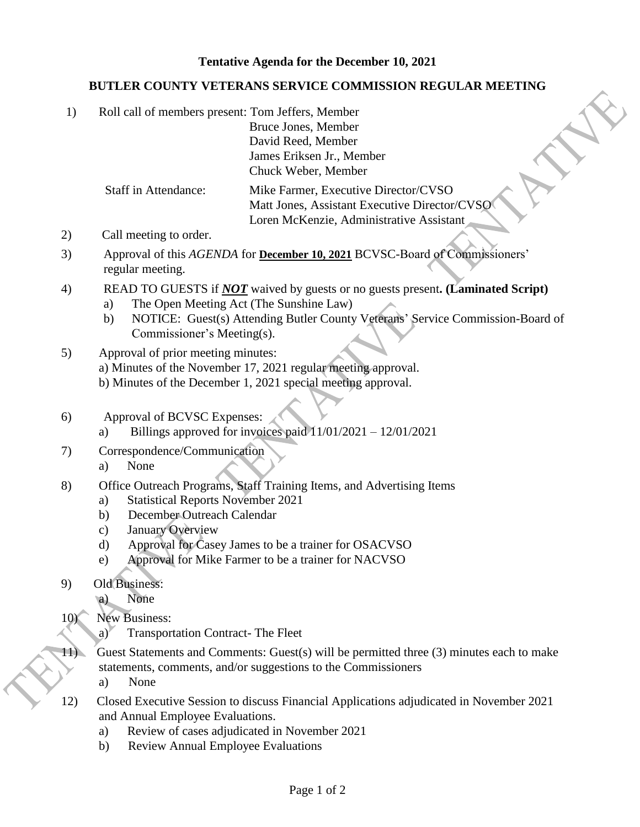## **Tentative Agenda for the December 10, 2021**

## **BUTLER COUNTY VETERANS SERVICE COMMISSION REGULAR MEETING**

| Roll call of members present: Tom Jeffers, Member |                                               |
|---------------------------------------------------|-----------------------------------------------|
|                                                   | Bruce Jones, Member                           |
|                                                   | David Reed, Member                            |
|                                                   | James Eriksen Jr., Member                     |
|                                                   | Chuck Weber, Member                           |
| <b>Staff in Attendance:</b>                       | Mike Farmer, Executive Director/CVSO          |
|                                                   | Matt Jones, Assistant Executive Director/CVSO |
|                                                   | Loren McKenzie, Administrative Assistant      |
| Call meeting to order.                            |                                               |

- 3) Approval of this *AGENDA* for **December 10, 2021** BCVSC-Board of Commissioners' regular meeting.
- 4) READ TO GUESTS if *NOT* waived by guests or no guests present**. (Laminated Script)**
	- a) The Open Meeting Act (The Sunshine Law)
	- b) NOTICE: Guest(s) Attending Butler County Veterans' Service Commission-Board of Commissioner's Meeting(s).
- 5) Approval of prior meeting minutes: a) Minutes of the November 17, 2021 regular meeting approval. b) Minutes of the December 1, 2021 special meeting approval.
- 6) Approval of BCVSC Expenses:
	- a) Billings approved for invoices paid  $11/01/2021 12/01/2021$
- 7) Correspondence/Communication
	- a) None
- 8) Office Outreach Programs, Staff Training Items, and Advertising Items
	- a) Statistical Reports November 2021
	- b) December Outreach Calendar
	- c) January Overview
	- d) Approval for Casey James to be a trainer for OSACVSO
	- e) Approval for Mike Farmer to be a trainer for NACVSO
- 9) Old Business:
	- a) None
- 10) New Business:
	- a) Transportation Contract- The Fleet
- 11) Guest Statements and Comments: Guest(s) will be permitted three (3) minutes each to make statements, comments, and/or suggestions to the Commissioners
	- a) None
- 12) Closed Executive Session to discuss Financial Applications adjudicated in November 2021 and Annual Employee Evaluations.
	- a) Review of cases adjudicated in November 2021
	- b) Review Annual Employee Evaluations